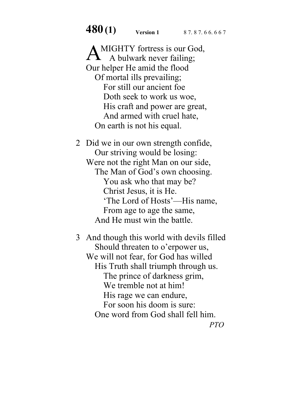**480(1) Version 1** 87.87.66.667

A MIGHTY fortress is our God,<br>A bulwark never failing;  $\blacktriangle$  A bulwark never failing; Our helper He amid the flood Of mortal ills prevailing; For still our ancient foe Doth seek to work us woe, His craft and power are great, And armed with cruel hate, On earth is not his equal.

2 Did we in our own strength confide, Our striving would be losing: Were not the right Man on our side, The Man of God's own choosing. You ask who that may be? Christ Jesus, it is He. 'The Lord of Hosts'—His name, From age to age the same, And He must win the battle.

3 And though this world with devils filled Should threaten to o'erpower us, We will not fear, for God has willed His Truth shall triumph through us. The prince of darkness grim, We tremble not at him! His rage we can endure, For soon his doom is sure: One word from God shall fell him.

*PTO*